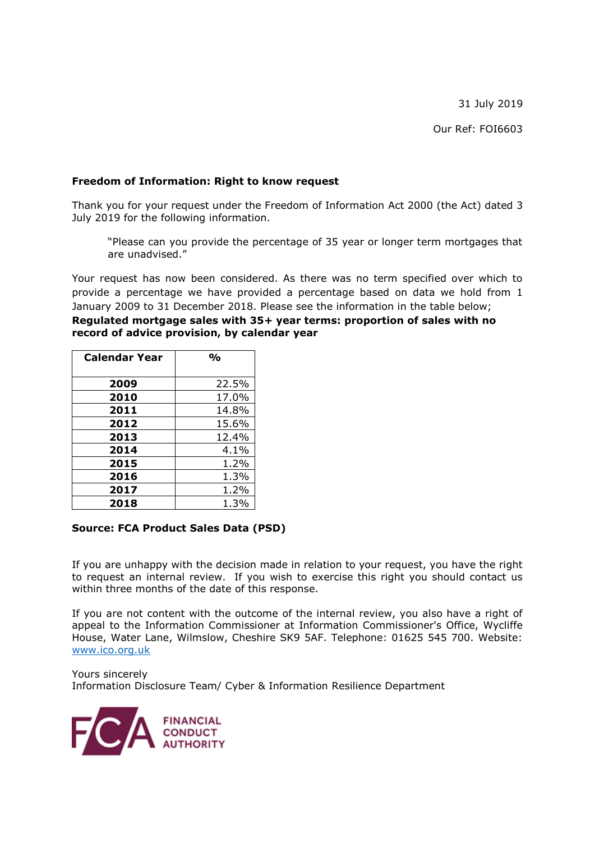31 July 2019

Our Ref: FOI6603

## **Freedom of Information: Right to know request**

Thank you for your request under the Freedom of Information Act 2000 (the Act) dated 3 July 2019 for the following information.

"Please can you provide the percentage of 35 year or longer term mortgages that are unadvised."

Your request has now been considered. As there was no term specified over which to provide a percentage we have provided a percentage based on data we hold from 1 January 2009 to 31 December 2018. Please see the information in the table below;

**Regulated mortgage sales with 35+ year terms: proportion of sales with no record of advice provision, by calendar year**

| <b>Calendar Year</b> | $\frac{1}{2}$ |
|----------------------|---------------|
|                      |               |
| 2009                 | 22.5%         |
| 2010                 | 17.0%         |
| 2011                 | 14.8%         |
| 2012                 | 15.6%         |
| 2013                 | 12.4%         |
| 2014                 | $4.1\%$       |
| 2015                 | 1.2%          |
| 2016                 | 1.3%          |
| 2017                 | 1.2%          |
| 2018                 | 1.3%          |

## **Source: FCA Product Sales Data (PSD)**

If you are unhappy with the decision made in relation to your request, you have the right to request an internal review. If you wish to exercise this right you should contact us within three months of the date of this response.

If you are not content with the outcome of the internal review, you also have a right of appeal to the Information Commissioner at Information Commissioner's Office, Wycliffe House, Water Lane, Wilmslow, Cheshire SK9 5AF. Telephone: 01625 545 700. Website: [www.ico.org.uk](http://www.ico.org.uk/)

Yours sincerely Information Disclosure Team/ Cyber & Information Resilience Department